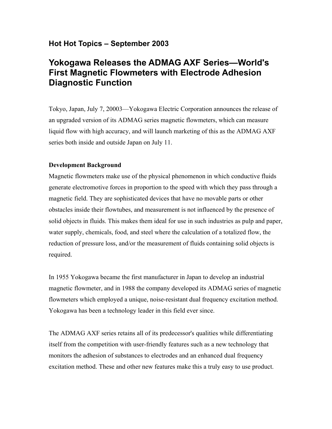# **Hot Hot Topics – September 2003**

# **Yokogawa Releases the ADMAG AXF Series—World's First Magnetic Flowmeters with Electrode Adhesion Diagnostic Function**

Tokyo, Japan, July 7, 20003—Yokogawa Electric Corporation announces the release of an upgraded version of its ADMAG series magnetic flowmeters, which can measure liquid flow with high accuracy, and will launch marketing of this as the ADMAG AXF series both inside and outside Japan on July 11.

#### **Development Background**

Magnetic flowmeters make use of the physical phenomenon in which conductive fluids generate electromotive forces in proportion to the speed with which they pass through a magnetic field. They are sophisticated devices that have no movable parts or other obstacles inside their flowtubes, and measurement is not influenced by the presence of solid objects in fluids. This makes them ideal for use in such industries as pulp and paper, water supply, chemicals, food, and steel where the calculation of a totalized flow, the reduction of pressure loss, and/or the measurement of fluids containing solid objects is required.

In 1955 Yokogawa became the first manufacturer in Japan to develop an industrial magnetic flowmeter, and in 1988 the company developed its ADMAG series of magnetic flowmeters which employed a unique, noise-resistant dual frequency excitation method. Yokogawa has been a technology leader in this field ever since.

The ADMAG AXF series retains all of its predecessor's qualities while differentiating itself from the competition with user-friendly features such as a new technology that monitors the adhesion of substances to electrodes and an enhanced dual frequency excitation method. These and other new features make this a truly easy to use product.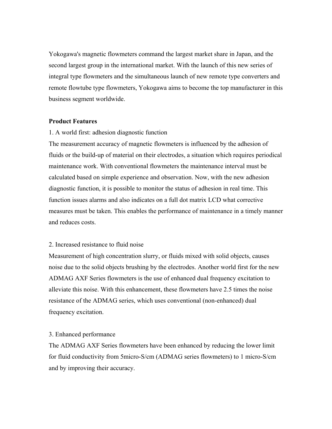Yokogawa's magnetic flowmeters command the largest market share in Japan, and the second largest group in the international market. With the launch of this new series of integral type flowmeters and the simultaneous launch of new remote type converters and remote flowtube type flowmeters, Yokogawa aims to become the top manufacturer in this business segment worldwide.

#### **Product Features**

1. A world first: adhesion diagnostic function

The measurement accuracy of magnetic flowmeters is influenced by the adhesion of fluids or the build-up of material on their electrodes, a situation which requires periodical maintenance work. With conventional flowmeters the maintenance interval must be calculated based on simple experience and observation. Now, with the new adhesion diagnostic function, it is possible to monitor the status of adhesion in real time. This function issues alarms and also indicates on a full dot matrix LCD what corrective measures must be taken. This enables the performance of maintenance in a timely manner and reduces costs.

### 2. Increased resistance to fluid noise

Measurement of high concentration slurry, or fluids mixed with solid objects, causes noise due to the solid objects brushing by the electrodes. Another world first for the new ADMAG AXF Series flowmeters is the use of enhanced dual frequency excitation to alleviate this noise. With this enhancement, these flowmeters have 2.5 times the noise resistance of the ADMAG series, which uses conventional (non-enhanced) dual frequency excitation.

#### 3. Enhanced performance

The ADMAG AXF Series flowmeters have been enhanced by reducing the lower limit for fluid conductivity from 5micro-S/cm (ADMAG series flowmeters) to 1 micro-S/cm and by improving their accuracy.